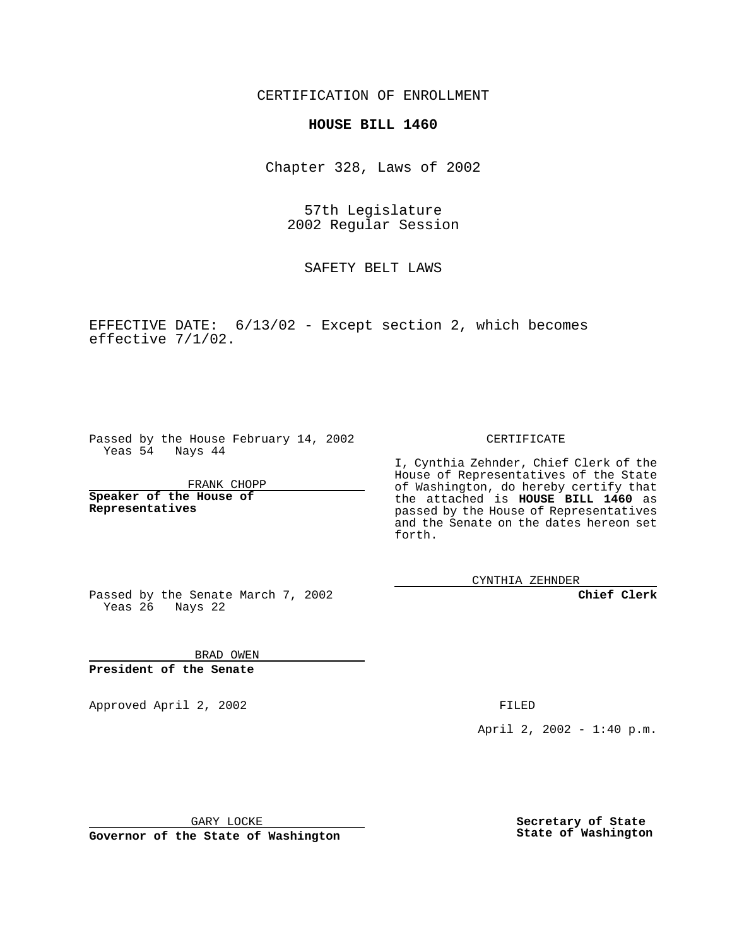CERTIFICATION OF ENROLLMENT

## **HOUSE BILL 1460**

Chapter 328, Laws of 2002

57th Legislature 2002 Regular Session

SAFETY BELT LAWS

EFFECTIVE DATE: 6/13/02 - Except section 2, which becomes effective 7/1/02.

Passed by the House February 14, 2002 Yeas 54 Nays 44

FRANK CHOPP

**Speaker of the House of Representatives**

CERTIFICATE

I, Cynthia Zehnder, Chief Clerk of the House of Representatives of the State of Washington, do hereby certify that the attached is **HOUSE BILL 1460** as passed by the House of Representatives and the Senate on the dates hereon set forth.

CYNTHIA ZEHNDER

**Chief Clerk**

Passed by the Senate March 7, 2002 Yeas 26 Nays 22

BRAD OWEN **President of the Senate**

Approved April 2, 2002 **FILED** 

April 2, 2002 - 1:40 p.m.

GARY LOCKE

**Governor of the State of Washington**

**Secretary of State State of Washington**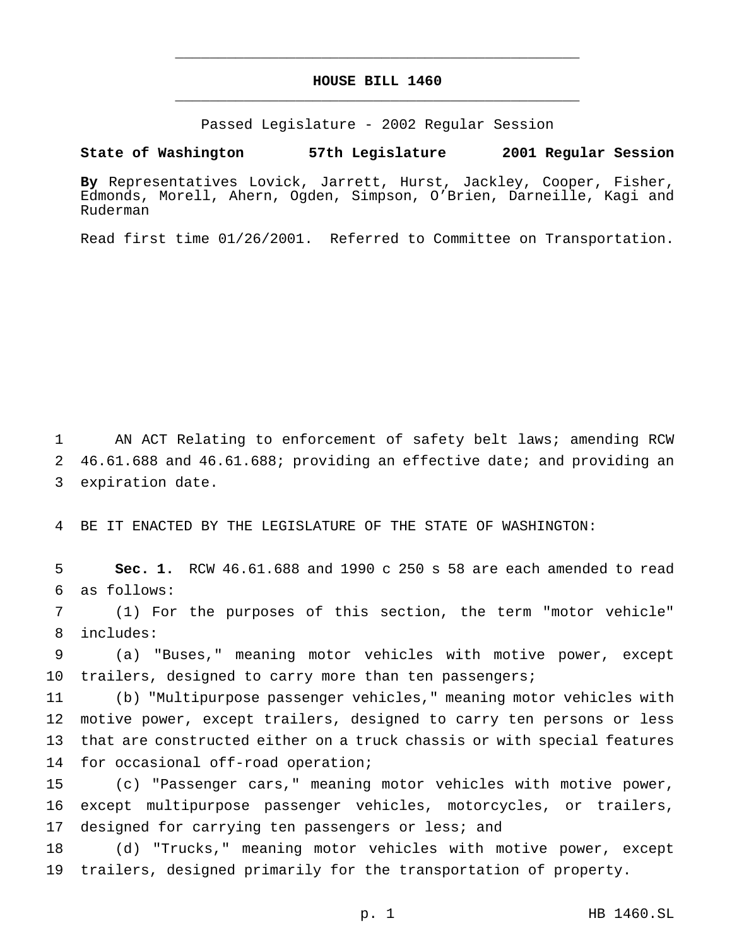## **HOUSE BILL 1460** \_\_\_\_\_\_\_\_\_\_\_\_\_\_\_\_\_\_\_\_\_\_\_\_\_\_\_\_\_\_\_\_\_\_\_\_\_\_\_\_\_\_\_\_\_\_\_

\_\_\_\_\_\_\_\_\_\_\_\_\_\_\_\_\_\_\_\_\_\_\_\_\_\_\_\_\_\_\_\_\_\_\_\_\_\_\_\_\_\_\_\_\_\_\_

Passed Legislature - 2002 Regular Session

**State of Washington 57th Legislature 2001 Regular Session**

**By** Representatives Lovick, Jarrett, Hurst, Jackley, Cooper, Fisher, Edmonds, Morell, Ahern, Ogden, Simpson, O'Brien, Darneille, Kagi and Ruderman

Read first time 01/26/2001. Referred to Committee on Transportation.

1 AN ACT Relating to enforcement of safety belt laws; amending RCW 2 46.61.688 and 46.61.688; providing an effective date; and providing an 3 expiration date.

4 BE IT ENACTED BY THE LEGISLATURE OF THE STATE OF WASHINGTON:

5 **Sec. 1.** RCW 46.61.688 and 1990 c 250 s 58 are each amended to read 6 as follows:

7 (1) For the purposes of this section, the term "motor vehicle" 8 includes:

9 (a) "Buses," meaning motor vehicles with motive power, except 10 trailers, designed to carry more than ten passengers;

 (b) "Multipurpose passenger vehicles," meaning motor vehicles with motive power, except trailers, designed to carry ten persons or less that are constructed either on a truck chassis or with special features 14 for occasional off-road operation;

15 (c) "Passenger cars," meaning motor vehicles with motive power, 16 except multipurpose passenger vehicles, motorcycles, or trailers, 17 designed for carrying ten passengers or less; and

18 (d) "Trucks," meaning motor vehicles with motive power, except 19 trailers, designed primarily for the transportation of property.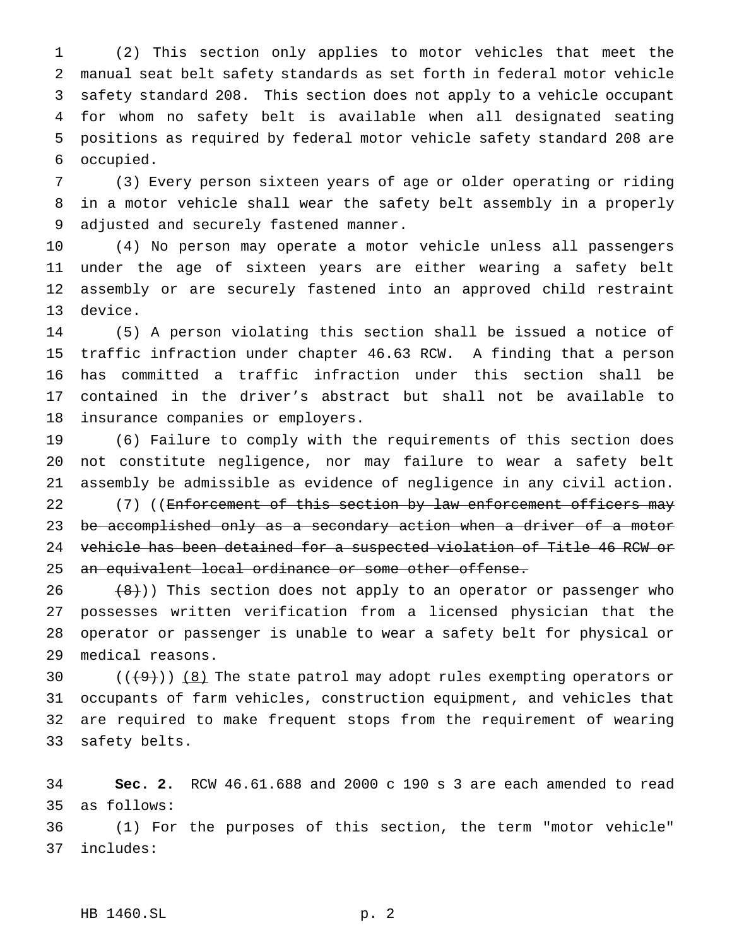(2) This section only applies to motor vehicles that meet the manual seat belt safety standards as set forth in federal motor vehicle safety standard 208. This section does not apply to a vehicle occupant for whom no safety belt is available when all designated seating positions as required by federal motor vehicle safety standard 208 are occupied.

 (3) Every person sixteen years of age or older operating or riding in a motor vehicle shall wear the safety belt assembly in a properly adjusted and securely fastened manner.

 (4) No person may operate a motor vehicle unless all passengers under the age of sixteen years are either wearing a safety belt assembly or are securely fastened into an approved child restraint device.

 (5) A person violating this section shall be issued a notice of traffic infraction under chapter 46.63 RCW. A finding that a person has committed a traffic infraction under this section shall be contained in the driver's abstract but shall not be available to insurance companies or employers.

 (6) Failure to comply with the requirements of this section does not constitute negligence, nor may failure to wear a safety belt assembly be admissible as evidence of negligence in any civil action.

22 (7) ((Enforcement of this section by law enforcement officers may 23 be accomplished only as a secondary action when a driver of a motor vehicle has been detained for a suspected violation of Title 46 RCW or 25 an equivalent local ordinance or some other offense.

  $(8)$ )) This section does not apply to an operator or passenger who possesses written verification from a licensed physician that the operator or passenger is unable to wear a safety belt for physical or medical reasons.

 $((+9))$   $(8)$  The state patrol may adopt rules exempting operators or occupants of farm vehicles, construction equipment, and vehicles that are required to make frequent stops from the requirement of wearing safety belts.

 **Sec. 2.** RCW 46.61.688 and 2000 c 190 s 3 are each amended to read as follows:

 (1) For the purposes of this section, the term "motor vehicle" includes: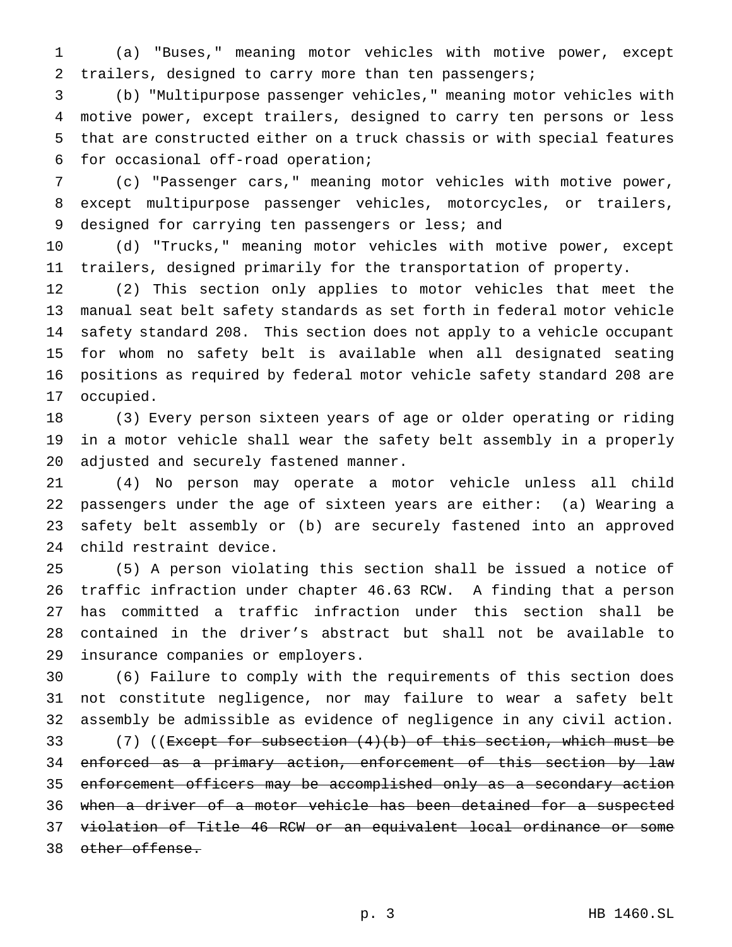(a) "Buses," meaning motor vehicles with motive power, except trailers, designed to carry more than ten passengers;

 (b) "Multipurpose passenger vehicles," meaning motor vehicles with motive power, except trailers, designed to carry ten persons or less that are constructed either on a truck chassis or with special features for occasional off-road operation;

 (c) "Passenger cars," meaning motor vehicles with motive power, except multipurpose passenger vehicles, motorcycles, or trailers, designed for carrying ten passengers or less; and

 (d) "Trucks," meaning motor vehicles with motive power, except trailers, designed primarily for the transportation of property.

 (2) This section only applies to motor vehicles that meet the manual seat belt safety standards as set forth in federal motor vehicle safety standard 208. This section does not apply to a vehicle occupant for whom no safety belt is available when all designated seating positions as required by federal motor vehicle safety standard 208 are occupied.

 (3) Every person sixteen years of age or older operating or riding in a motor vehicle shall wear the safety belt assembly in a properly adjusted and securely fastened manner.

 (4) No person may operate a motor vehicle unless all child passengers under the age of sixteen years are either: (a) Wearing a safety belt assembly or (b) are securely fastened into an approved child restraint device.

 (5) A person violating this section shall be issued a notice of traffic infraction under chapter 46.63 RCW. A finding that a person has committed a traffic infraction under this section shall be contained in the driver's abstract but shall not be available to insurance companies or employers.

 (6) Failure to comply with the requirements of this section does not constitute negligence, nor may failure to wear a safety belt assembly be admissible as evidence of negligence in any civil action.

33 (7) ((<del>Except for subsection (4)(b) of this section, which must be</del> 34 enforced as a primary action, enforcement of this section by law enforcement officers may be accomplished only as a secondary action when a driver of a motor vehicle has been detained for a suspected violation of Title 46 RCW or an equivalent local ordinance or some 38 other offense.